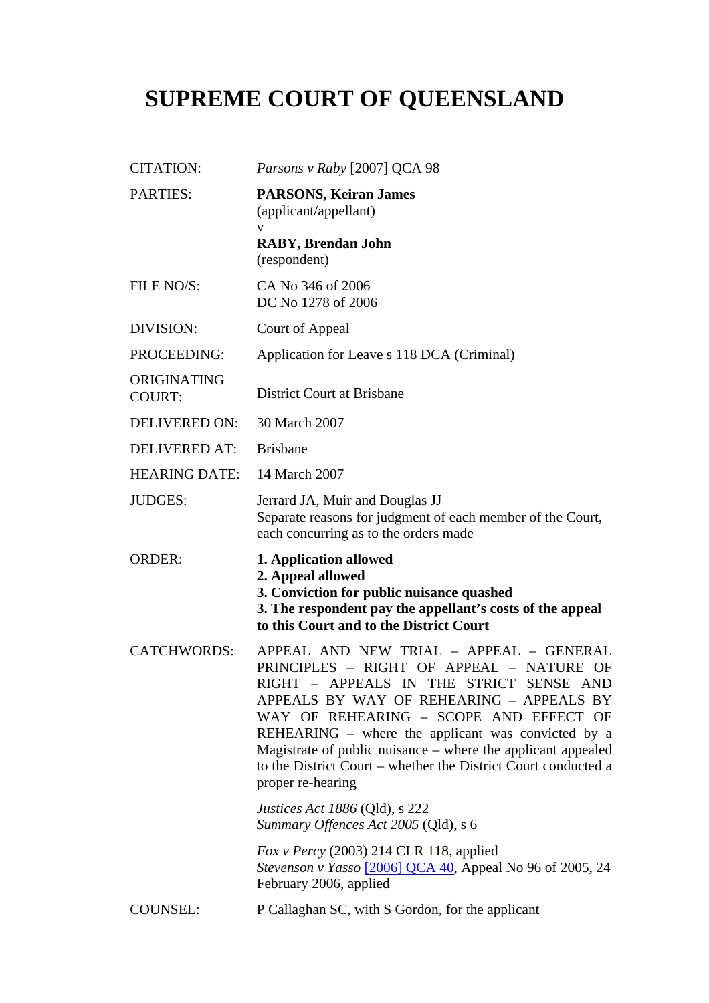## **SUPREME COURT OF QUEENSLAND**

| <b>CITATION:</b>             | Parsons v Raby [2007] QCA 98                                                                                                                                                                                                                                                                                                                                                                                                          |
|------------------------------|---------------------------------------------------------------------------------------------------------------------------------------------------------------------------------------------------------------------------------------------------------------------------------------------------------------------------------------------------------------------------------------------------------------------------------------|
| <b>PARTIES:</b>              | <b>PARSONS, Keiran James</b><br>(applicant/appellant)<br>V                                                                                                                                                                                                                                                                                                                                                                            |
|                              | <b>RABY, Brendan John</b><br>(respondent)                                                                                                                                                                                                                                                                                                                                                                                             |
| FILE NO/S:                   | CA No 346 of 2006<br>DC No 1278 of 2006                                                                                                                                                                                                                                                                                                                                                                                               |
| DIVISION:                    | Court of Appeal                                                                                                                                                                                                                                                                                                                                                                                                                       |
| PROCEEDING:                  | Application for Leave s 118 DCA (Criminal)                                                                                                                                                                                                                                                                                                                                                                                            |
| ORIGINATING<br><b>COURT:</b> | <b>District Court at Brisbane</b>                                                                                                                                                                                                                                                                                                                                                                                                     |
| <b>DELIVERED ON:</b>         | 30 March 2007                                                                                                                                                                                                                                                                                                                                                                                                                         |
| <b>DELIVERED AT:</b>         | <b>Brisbane</b>                                                                                                                                                                                                                                                                                                                                                                                                                       |
| <b>HEARING DATE:</b>         | 14 March 2007                                                                                                                                                                                                                                                                                                                                                                                                                         |
| <b>JUDGES:</b>               | Jerrard JA, Muir and Douglas JJ<br>Separate reasons for judgment of each member of the Court,<br>each concurring as to the orders made                                                                                                                                                                                                                                                                                                |
|                              | 1. Application allowed                                                                                                                                                                                                                                                                                                                                                                                                                |
| <b>ORDER:</b>                | 2. Appeal allowed<br>3. Conviction for public nuisance quashed<br>3. The respondent pay the appellant's costs of the appeal<br>to this Court and to the District Court                                                                                                                                                                                                                                                                |
| <b>CATCHWORDS:</b>           | APPEAL AND NEW TRIAL - APPEAL - GENERAL<br>PRINCIPLES - RIGHT OF APPEAL - NATURE<br>OF.<br>RIGHT - APPEALS IN THE STRICT SENSE AND<br>APPEALS BY WAY OF REHEARING - APPEALS BY<br>WAY OF REHEARING - SCOPE AND EFFECT OF<br>REHEARING – where the applicant was convicted by a<br>Magistrate of public nuisance – where the applicant appealed<br>to the District Court – whether the District Court conducted a<br>proper re-hearing |
|                              | <i>Justices Act 1886</i> (Qld), s 222<br>Summary Offences Act 2005 (Qld), s 6                                                                                                                                                                                                                                                                                                                                                         |
|                              | Fox v Percy (2003) 214 CLR 118, applied<br><i>Stevenson v Yasso</i> [2006] QCA 40, Appeal No 96 of 2005, 24<br>February 2006, applied                                                                                                                                                                                                                                                                                                 |
| <b>COUNSEL:</b>              | P Callaghan SC, with S Gordon, for the applicant                                                                                                                                                                                                                                                                                                                                                                                      |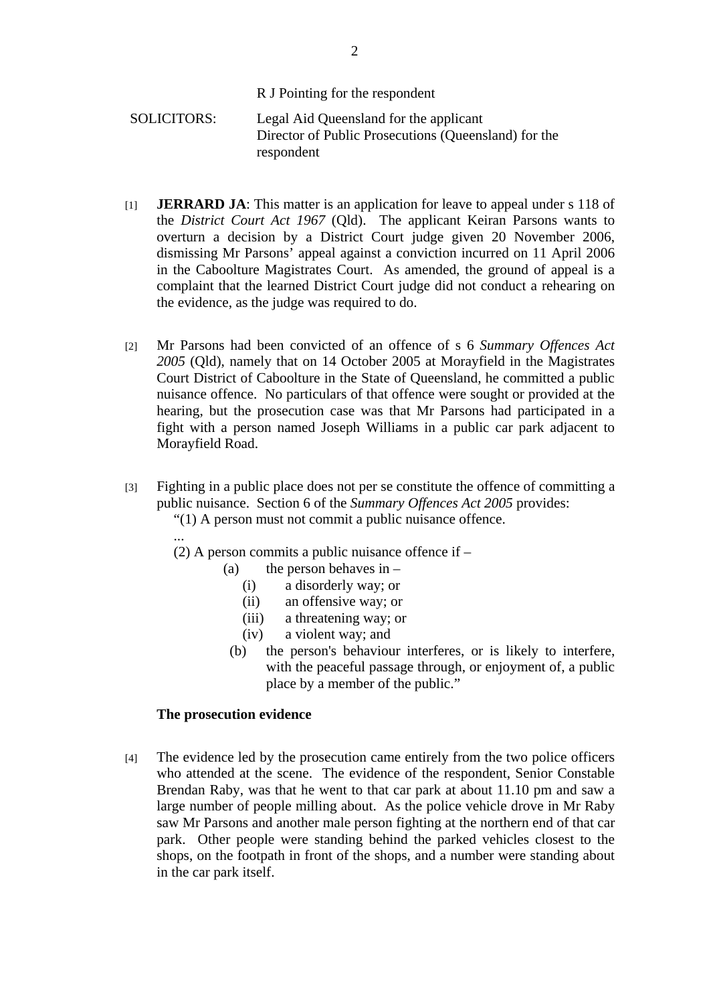R J Pointing for the respondent

SOLICITORS: Legal Aid Queensland for the applicant Director of Public Prosecutions (Queensland) for the respondent

- [1] **JERRARD JA**: This matter is an application for leave to appeal under s 118 of the *District Court Act 1967* (Qld). The applicant Keiran Parsons wants to overturn a decision by a District Court judge given 20 November 2006, dismissing Mr Parsons' appeal against a conviction incurred on 11 April 2006 in the Caboolture Magistrates Court. As amended, the ground of appeal is a complaint that the learned District Court judge did not conduct a rehearing on the evidence, as the judge was required to do.
- [2] Mr Parsons had been convicted of an offence of s 6 *Summary Offences Act 2005* (Qld), namely that on 14 October 2005 at Morayfield in the Magistrates Court District of Caboolture in the State of Queensland, he committed a public nuisance offence. No particulars of that offence were sought or provided at the hearing, but the prosecution case was that Mr Parsons had participated in a fight with a person named Joseph Williams in a public car park adjacent to Morayfield Road.
- [3] Fighting in a public place does not per se constitute the offence of committing a public nuisance. Section 6 of the *Summary Offences Act 2005* provides:
	- "(1) A person must not commit a public nuisance offence. ...
	- (2) A person commits a public nuisance offence if
		- (a) the person behaves in  $-$ 
			- (i) a disorderly way; or
			- (ii) an offensive way; or
			- (iii) a threatening way; or
			- (iv) a violent way; and
			- (b) the person's behaviour interferes, or is likely to interfere, with the peaceful passage through, or enjoyment of, a public place by a member of the public."

## **The prosecution evidence**

[4] The evidence led by the prosecution came entirely from the two police officers who attended at the scene. The evidence of the respondent, Senior Constable Brendan Raby, was that he went to that car park at about 11.10 pm and saw a large number of people milling about. As the police vehicle drove in Mr Raby saw Mr Parsons and another male person fighting at the northern end of that car park. Other people were standing behind the parked vehicles closest to the shops, on the footpath in front of the shops, and a number were standing about in the car park itself.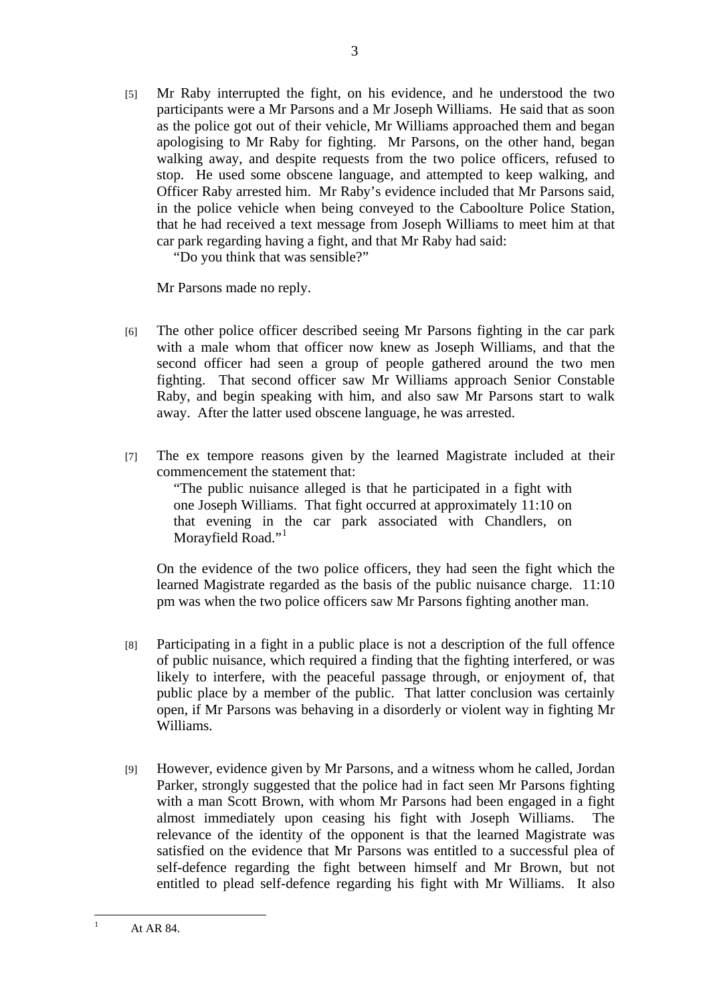[5] Mr Raby interrupted the fight, on his evidence, and he understood the two participants were a Mr Parsons and a Mr Joseph Williams. He said that as soon as the police got out of their vehicle, Mr Williams approached them and began apologising to Mr Raby for fighting. Mr Parsons, on the other hand, began walking away, and despite requests from the two police officers, refused to stop. He used some obscene language, and attempted to keep walking, and Officer Raby arrested him. Mr Raby's evidence included that Mr Parsons said, in the police vehicle when being conveyed to the Caboolture Police Station, that he had received a text message from Joseph Williams to meet him at that car park regarding having a fight, and that Mr Raby had said:

"Do you think that was sensible?"

Mr Parsons made no reply.

- [6] The other police officer described seeing Mr Parsons fighting in the car park with a male whom that officer now knew as Joseph Williams, and that the second officer had seen a group of people gathered around the two men fighting. That second officer saw Mr Williams approach Senior Constable Raby, and begin speaking with him, and also saw Mr Parsons start to walk away. After the latter used obscene language, he was arrested.
- [7] The ex tempore reasons given by the learned Magistrate included at their commencement the statement that:

"The public nuisance alleged is that he participated in a fight with one Joseph Williams. That fight occurred at approximately 11:10 on that evening in the car park associated with Chandlers, on Morayfield Road."<sup>1</sup>

On the evidence of the two police officers, they had seen the fight which the learned Magistrate regarded as the basis of the public nuisance charge. 11:10 pm was when the two police officers saw Mr Parsons fighting another man.

- [8] Participating in a fight in a public place is not a description of the full offence of public nuisance, which required a finding that the fighting interfered, or was likely to interfere, with the peaceful passage through, or enjoyment of, that public place by a member of the public. That latter conclusion was certainly open, if Mr Parsons was behaving in a disorderly or violent way in fighting Mr Williams.
- [9] However, evidence given by Mr Parsons, and a witness whom he called, Jordan Parker, strongly suggested that the police had in fact seen Mr Parsons fighting with a man Scott Brown, with whom Mr Parsons had been engaged in a fight almost immediately upon ceasing his fight with Joseph Williams. The relevance of the identity of the opponent is that the learned Magistrate was satisfied on the evidence that Mr Parsons was entitled to a successful plea of self-defence regarding the fight between himself and Mr Brown, but not entitled to plead self-defence regarding his fight with Mr Williams. It also

 $\frac{1}{1}$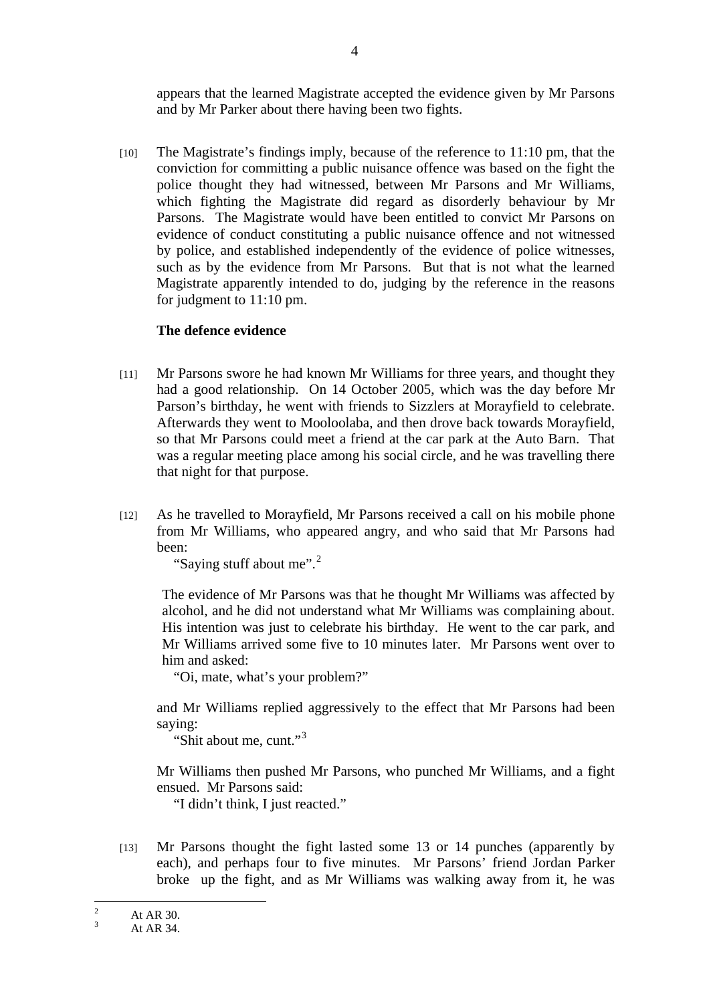appears that the learned Magistrate accepted the evidence given by Mr Parsons and by Mr Parker about there having been two fights.

[10] The Magistrate's findings imply, because of the reference to 11:10 pm, that the conviction for committing a public nuisance offence was based on the fight the police thought they had witnessed, between Mr Parsons and Mr Williams, which fighting the Magistrate did regard as disorderly behaviour by Mr Parsons. The Magistrate would have been entitled to convict Mr Parsons on evidence of conduct constituting a public nuisance offence and not witnessed by police, and established independently of the evidence of police witnesses, such as by the evidence from Mr Parsons. But that is not what the learned Magistrate apparently intended to do, judging by the reference in the reasons for judgment to 11:10 pm.

## **The defence evidence**

- [11] Mr Parsons swore he had known Mr Williams for three years, and thought they had a good relationship. On 14 October 2005, which was the day before Mr Parson's birthday, he went with friends to Sizzlers at Morayfield to celebrate. Afterwards they went to Mooloolaba, and then drove back towards Morayfield, so that Mr Parsons could meet a friend at the car park at the Auto Barn. That was a regular meeting place among his social circle, and he was travelling there that night for that purpose.
- [12] As he travelled to Morayfield, Mr Parsons received a call on his mobile phone from Mr Williams, who appeared angry, and who said that Mr Parsons had been:

"Saying stuff about me".<sup>2</sup>

The evidence of Mr Parsons was that he thought Mr Williams was affected by alcohol, and he did not understand what Mr Williams was complaining about. His intention was just to celebrate his birthday. He went to the car park, and Mr Williams arrived some five to 10 minutes later. Mr Parsons went over to him and asked:

"Oi, mate, what's your problem?"

and Mr Williams replied aggressively to the effect that Mr Parsons had been saying:

"Shit about me, cunt."<sup>3</sup>

Mr Williams then pushed Mr Parsons, who punched Mr Williams, and a fight ensued. Mr Parsons said:

"I didn't think, I just reacted."

[13] Mr Parsons thought the fight lasted some 13 or 14 punches (apparently by each), and perhaps four to five minutes. Mr Parsons' friend Jordan Parker broke up the fight, and as Mr Williams was walking away from it, he was

 $\frac{1}{2}$ At AR 30.

 $\overline{3}$ At AR 34.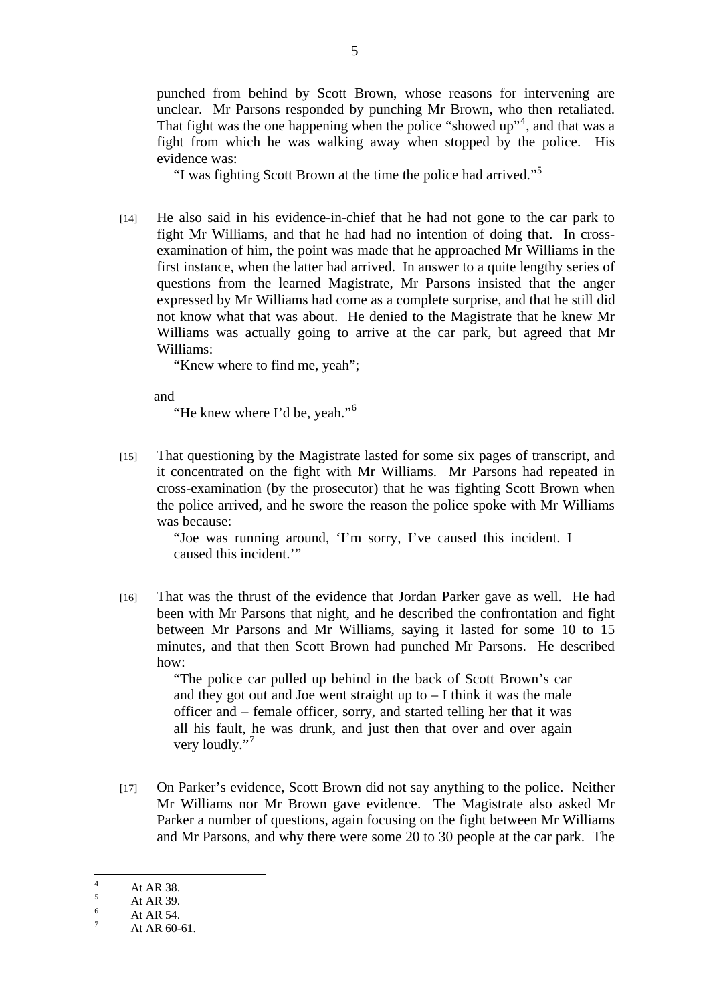punched from behind by Scott Brown, whose reasons for intervening are unclear. Mr Parsons responded by punching Mr Brown, who then retaliated. That fight was the one happening when the police "showed up"<sup>4</sup>, and that was a fight from which he was walking away when stopped by the police. His evidence was:

"I was fighting Scott Brown at the time the police had arrived."<sup>5</sup>

[14] He also said in his evidence-in-chief that he had not gone to the car park to fight Mr Williams, and that he had had no intention of doing that. In crossexamination of him, the point was made that he approached Mr Williams in the first instance, when the latter had arrived. In answer to a quite lengthy series of questions from the learned Magistrate, Mr Parsons insisted that the anger expressed by Mr Williams had come as a complete surprise, and that he still did not know what that was about. He denied to the Magistrate that he knew Mr Williams was actually going to arrive at the car park, but agreed that Mr Williams:

"Knew where to find me, yeah";

and

"He knew where I'd be, yeah."<sup>6</sup>

[15] That questioning by the Magistrate lasted for some six pages of transcript, and it concentrated on the fight with Mr Williams. Mr Parsons had repeated in cross-examination (by the prosecutor) that he was fighting Scott Brown when the police arrived, and he swore the reason the police spoke with Mr Williams was because:

> "Joe was running around, 'I'm sorry, I've caused this incident. I caused this incident.'"

[16] That was the thrust of the evidence that Jordan Parker gave as well. He had been with Mr Parsons that night, and he described the confrontation and fight between Mr Parsons and Mr Williams, saying it lasted for some 10 to 15 minutes, and that then Scott Brown had punched Mr Parsons. He described how:

> "The police car pulled up behind in the back of Scott Brown's car and they got out and Joe went straight up to  $-$  I think it was the male officer and – female officer, sorry, and started telling her that it was all his fault, he was drunk, and just then that over and over again very loudly."

[17] On Parker's evidence, Scott Brown did not say anything to the police. Neither Mr Williams nor Mr Brown gave evidence. The Magistrate also asked Mr Parker a number of questions, again focusing on the fight between Mr Williams and Mr Parsons, and why there were some 20 to 30 people at the car park. The

 $\frac{1}{4}$ At AR 38.

<sup>5</sup> At AR 39.

<sup>6</sup> At AR 54. 7

At AR 60-61.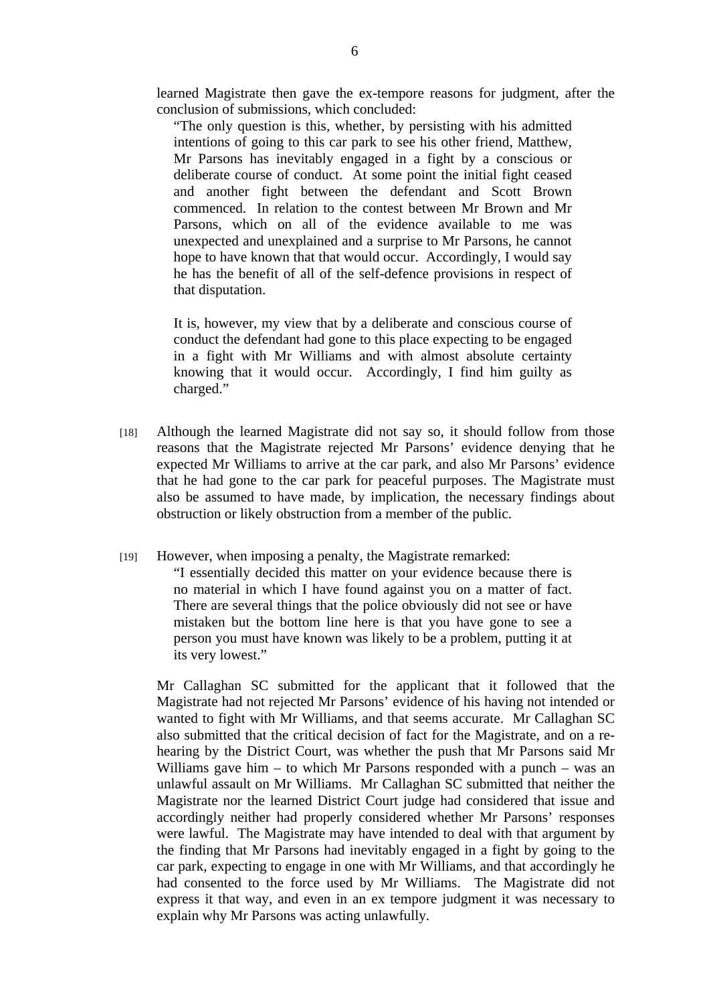learned Magistrate then gave the ex-tempore reasons for judgment, after the conclusion of submissions, which concluded:

"The only question is this, whether, by persisting with his admitted intentions of going to this car park to see his other friend, Matthew, Mr Parsons has inevitably engaged in a fight by a conscious or deliberate course of conduct. At some point the initial fight ceased and another fight between the defendant and Scott Brown commenced. In relation to the contest between Mr Brown and Mr Parsons, which on all of the evidence available to me was unexpected and unexplained and a surprise to Mr Parsons, he cannot hope to have known that that would occur. Accordingly, I would say he has the benefit of all of the self-defence provisions in respect of that disputation.

It is, however, my view that by a deliberate and conscious course of conduct the defendant had gone to this place expecting to be engaged in a fight with Mr Williams and with almost absolute certainty knowing that it would occur. Accordingly, I find him guilty as charged."

- [18] Although the learned Magistrate did not say so, it should follow from those reasons that the Magistrate rejected Mr Parsons' evidence denying that he expected Mr Williams to arrive at the car park, and also Mr Parsons' evidence that he had gone to the car park for peaceful purposes. The Magistrate must also be assumed to have made, by implication, the necessary findings about obstruction or likely obstruction from a member of the public.
- [19] However, when imposing a penalty, the Magistrate remarked:

"I essentially decided this matter on your evidence because there is no material in which I have found against you on a matter of fact. There are several things that the police obviously did not see or have mistaken but the bottom line here is that you have gone to see a person you must have known was likely to be a problem, putting it at its very lowest."

Mr Callaghan SC submitted for the applicant that it followed that the Magistrate had not rejected Mr Parsons' evidence of his having not intended or wanted to fight with Mr Williams, and that seems accurate. Mr Callaghan SC also submitted that the critical decision of fact for the Magistrate, and on a rehearing by the District Court, was whether the push that Mr Parsons said Mr Williams gave him – to which Mr Parsons responded with a punch – was an unlawful assault on Mr Williams. Mr Callaghan SC submitted that neither the Magistrate nor the learned District Court judge had considered that issue and accordingly neither had properly considered whether Mr Parsons' responses were lawful. The Magistrate may have intended to deal with that argument by the finding that Mr Parsons had inevitably engaged in a fight by going to the car park, expecting to engage in one with Mr Williams, and that accordingly he had consented to the force used by Mr Williams. The Magistrate did not express it that way, and even in an ex tempore judgment it was necessary to explain why Mr Parsons was acting unlawfully.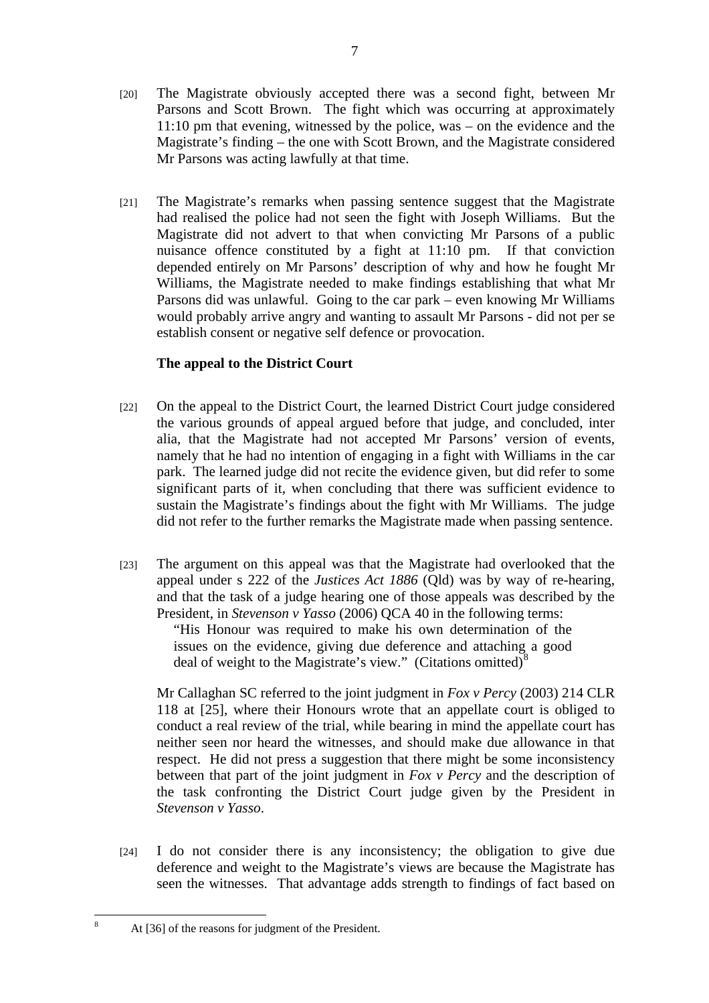- [20] The Magistrate obviously accepted there was a second fight, between Mr Parsons and Scott Brown. The fight which was occurring at approximately 11:10 pm that evening, witnessed by the police, was – on the evidence and the Magistrate's finding – the one with Scott Brown, and the Magistrate considered Mr Parsons was acting lawfully at that time.
- [21] The Magistrate's remarks when passing sentence suggest that the Magistrate had realised the police had not seen the fight with Joseph Williams. But the Magistrate did not advert to that when convicting Mr Parsons of a public nuisance offence constituted by a fight at 11:10 pm. If that conviction depended entirely on Mr Parsons' description of why and how he fought Mr Williams, the Magistrate needed to make findings establishing that what Mr Parsons did was unlawful. Going to the car park – even knowing Mr Williams would probably arrive angry and wanting to assault Mr Parsons - did not per se establish consent or negative self defence or provocation.

## **The appeal to the District Court**

- [22] On the appeal to the District Court, the learned District Court judge considered the various grounds of appeal argued before that judge, and concluded, inter alia, that the Magistrate had not accepted Mr Parsons' version of events, namely that he had no intention of engaging in a fight with Williams in the car park. The learned judge did not recite the evidence given, but did refer to some significant parts of it, when concluding that there was sufficient evidence to sustain the Magistrate's findings about the fight with Mr Williams. The judge did not refer to the further remarks the Magistrate made when passing sentence.
- [23] The argument on this appeal was that the Magistrate had overlooked that the appeal under s 222 of the *Justices Act 1886* (Qld) was by way of re-hearing, and that the task of a judge hearing one of those appeals was described by the President, in *Stevenson v Yasso* (2006) QCA 40 in the following terms:

"His Honour was required to make his own determination of the issues on the evidence, giving due deference and attaching a good deal of weight to the Magistrate's view." (Citations omitted) $8$ 

Mr Callaghan SC referred to the joint judgment in *Fox v Percy* (2003) 214 CLR 118 at [25], where their Honours wrote that an appellate court is obliged to conduct a real review of the trial, while bearing in mind the appellate court has neither seen nor heard the witnesses, and should make due allowance in that respect. He did not press a suggestion that there might be some inconsistency between that part of the joint judgment in *Fox v Percy* and the description of the task confronting the District Court judge given by the President in *Stevenson v Yasso*.

[24] I do not consider there is any inconsistency; the obligation to give due deference and weight to the Magistrate's views are because the Magistrate has seen the witnesses. That advantage adds strength to findings of fact based on

8

At [36] of the reasons for judgment of the President.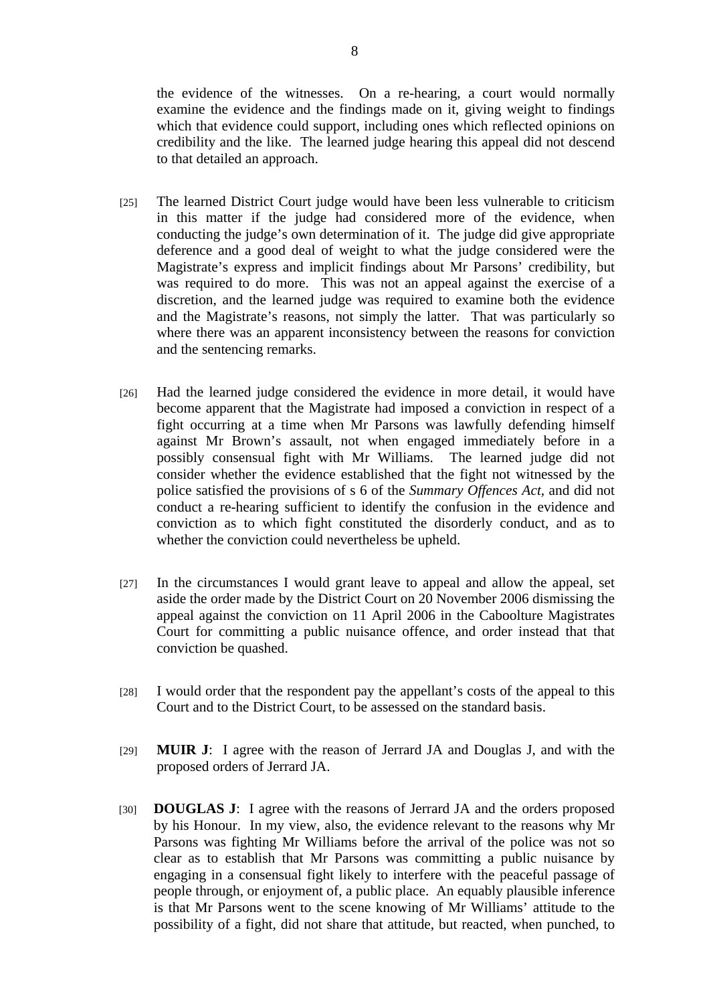the evidence of the witnesses. On a re-hearing, a court would normally examine the evidence and the findings made on it, giving weight to findings which that evidence could support, including ones which reflected opinions on credibility and the like. The learned judge hearing this appeal did not descend to that detailed an approach.

- [25] The learned District Court judge would have been less vulnerable to criticism in this matter if the judge had considered more of the evidence, when conducting the judge's own determination of it. The judge did give appropriate deference and a good deal of weight to what the judge considered were the Magistrate's express and implicit findings about Mr Parsons' credibility, but was required to do more. This was not an appeal against the exercise of a discretion, and the learned judge was required to examine both the evidence and the Magistrate's reasons, not simply the latter. That was particularly so where there was an apparent inconsistency between the reasons for conviction and the sentencing remarks.
- [26] Had the learned judge considered the evidence in more detail, it would have become apparent that the Magistrate had imposed a conviction in respect of a fight occurring at a time when Mr Parsons was lawfully defending himself against Mr Brown's assault, not when engaged immediately before in a possibly consensual fight with Mr Williams. The learned judge did not consider whether the evidence established that the fight not witnessed by the police satisfied the provisions of s 6 of the *Summary Offences Act,* and did not conduct a re-hearing sufficient to identify the confusion in the evidence and conviction as to which fight constituted the disorderly conduct, and as to whether the conviction could nevertheless be upheld.
- [27] In the circumstances I would grant leave to appeal and allow the appeal, set aside the order made by the District Court on 20 November 2006 dismissing the appeal against the conviction on 11 April 2006 in the Caboolture Magistrates Court for committing a public nuisance offence, and order instead that that conviction be quashed.
- [28] I would order that the respondent pay the appellant's costs of the appeal to this Court and to the District Court, to be assessed on the standard basis.
- [29] **MUIR J**: I agree with the reason of Jerrard JA and Douglas J, and with the proposed orders of Jerrard JA.
- [30] **DOUGLAS J**: I agree with the reasons of Jerrard JA and the orders proposed by his Honour. In my view, also, the evidence relevant to the reasons why Mr Parsons was fighting Mr Williams before the arrival of the police was not so clear as to establish that Mr Parsons was committing a public nuisance by engaging in a consensual fight likely to interfere with the peaceful passage of people through, or enjoyment of, a public place. An equably plausible inference is that Mr Parsons went to the scene knowing of Mr Williams' attitude to the possibility of a fight, did not share that attitude, but reacted, when punched, to